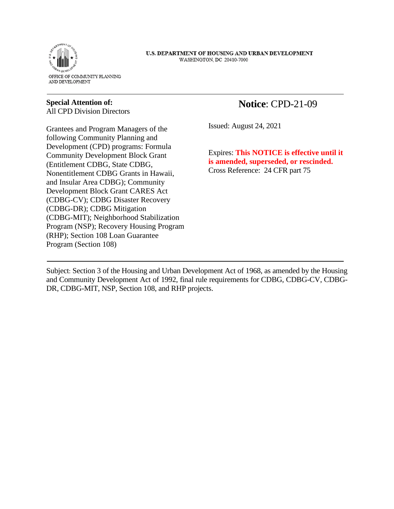

U.S. DEPARTMENT OF HOUSING AND URBAN DEVELOPMENT WASHINGTON, DC 20410-7000

## **Special Attention of:**

 $\ddot{\phantom{0}}$ 

**-**

All CPD Division Directors

Grantees and Program Managers of the following Community Planning and Development (CPD) programs: Formula Community Development Block Grant (Entitlement CDBG, State CDBG, Nonentitlement CDBG Grants in Hawaii, and Insular Area CDBG); Community Development Block Grant CARES Act (CDBG-CV); CDBG Disaster Recovery (CDBG-DR); CDBG Mitigation (CDBG-MIT); Neighborhood Stabilization Program (NSP); Recovery Housing Program (RHP); Section 108 Loan Guarantee Program (Section 108)

## **Notice**: CPD-21-09

 $\overline{a}$ Issued: August 24, 2021

Expires: **This NOTICE is effective until it is amended, superseded, or rescinded.**  Cross Reference: 24 CFR part 75

Subject: Section 3 of the Housing and Urban Development Act of 1968, as amended by the Housing and Community Development Act of 1992, final rule requirements for CDBG, CDBG-CV, CDBG-DR, CDBG-MIT, NSP, Section 108, and RHP projects.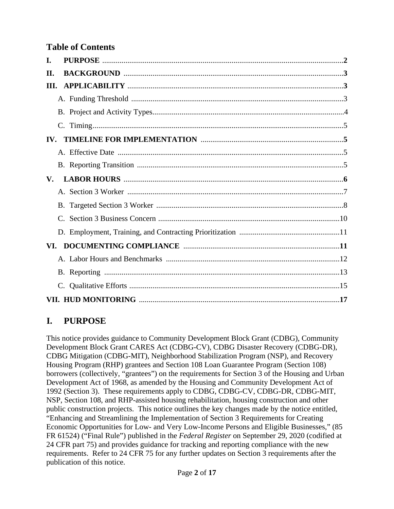## **Table of Contents**

| I.                   |
|----------------------|
| H.                   |
| III.                 |
|                      |
|                      |
|                      |
| IV.                  |
|                      |
|                      |
| $\mathbf{V}_{\cdot}$ |
|                      |
|                      |
|                      |
|                      |
|                      |
|                      |
|                      |
|                      |
|                      |

# **I. PURPOSE**

This notice provides guidance to Community Development Block Grant (CDBG), Community Development Block Grant CARES Act (CDBG-CV), CDBG Disaster Recovery (CDBG-DR), CDBG Mitigation (CDBG-MIT), Neighborhood Stabilization Program (NSP), and Recovery Housing Program (RHP) grantees and Section 108 Loan Guarantee Program (Section 108) borrowers (collectively, "grantees") on the requirements for Section 3 of the Housing and Urban Development Act of 1968, as amended by the Housing and Community Development Act of 1992 (Section 3). These requirements apply to CDBG, CDBG-CV, CDBG-DR, CDBG-MIT, NSP, Section 108, and RHP-assisted housing rehabilitation, housing construction and other public construction projects. This notice outlines the key changes made by the notice entitled, "Enhancing and Streamlining the Implementation of Section 3 Requirements for Creating Economic Opportunities for Low- and Very Low-Income Persons and Eligible Businesses," (85 FR 61524) ("Final Rule") published in the *Federal Register* on September 29, 2020 (codified at 24 CFR part 75) and provides guidance for tracking and reporting compliance with the new requirements. Refer to 24 CFR 75 for any further updates on Section 3 requirements after the publication of this notice.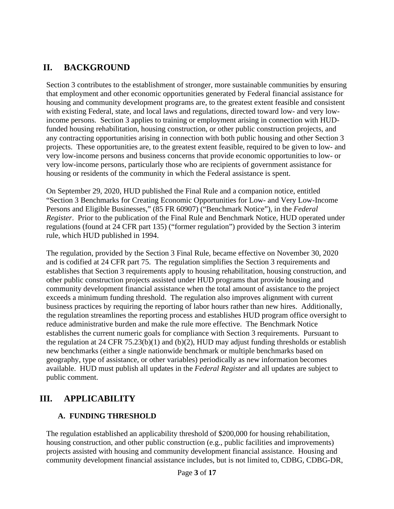## **II. BACKGROUND**

Section 3 contributes to the establishment of stronger, more sustainable communities by ensuring that employment and other economic opportunities generated by Federal financial assistance for housing and community development programs are, to the greatest extent feasible and consistent with existing Federal, state, and local laws and regulations, directed toward low- and very lowincome persons. Section 3 applies to training or employment arising in connection with HUDfunded housing rehabilitation, housing construction, or other public construction projects, and any contracting opportunities arising in connection with both public housing and other Section 3 projects. These opportunities are, to the greatest extent feasible, required to be given to low- and very low-income persons and business concerns that provide economic opportunities to low- or very low-income persons, particularly those who are recipients of government assistance for housing or residents of the community in which the Federal assistance is spent.

On September 29, 2020, HUD published the Final Rule and a companion notice, entitled "Section 3 Benchmarks for Creating Economic Opportunities for Low- and Very Low-Income Persons and Eligible Businesses," (85 FR 60907) ("Benchmark Notice"), in the *Federal Register*. Prior to the publication of the Final Rule and Benchmark Notice, HUD operated under regulations (found at 24 CFR part 135) ("former regulation") provided by the Section 3 interim rule, which HUD published in 1994.

The regulation, provided by the Section 3 Final Rule, became effective on November 30, 2020 and is codified at [24 CFR part 75.](https://www.govinfo.gov/content/pkg/FR-2020-09-29/pdf/2020-19185.pdf) The regulation simplifies the Section 3 requirements and establishes that Section 3 requirements apply to housing rehabilitation, housing construction, and other public construction projects assisted under HUD programs that provide housing and community development financial assistance when the total amount of assistance to the project exceeds a minimum funding threshold. The regulation also improves alignment with current business practices by requiring the reporting of labor hours rather than new hires. Additionally, the regulation streamlines the reporting process and establishes HUD program office oversight to reduce administrative burden and make the rule more effective. The Benchmark Notice establishes the current numeric goals for compliance with Section 3 requirements. Pursuant to the regulation at 24 CFR 75.23(b)(1) and (b)(2), HUD may adjust funding thresholds or establish new benchmarks (either a single nationwide benchmark or multiple benchmarks based on geography, type of assistance, or other variables) periodically as new information becomes available. HUD must publish all updates in the *Federal Register* and all updates are subject to public comment.

## **III. APPLICABILITY**

## **A. FUNDING THRESHOLD**

The regulation established an applicability threshold of \$200,000 for housing rehabilitation, housing construction, and other public construction (e.g., public facilities and improvements) projects assisted with housing and community development financial assistance. Housing and community development financial assistance includes, but is not limited to, CDBG, CDBG-DR,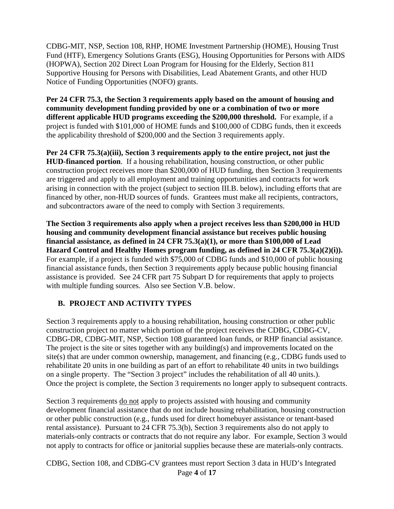CDBG-MIT, NSP, Section 108, RHP, HOME Investment Partnership (HOME), Housing Trust Fund (HTF), Emergency Solutions Grants (ESG), Housing Opportunities for Persons with AIDS (HOPWA), Section 202 Direct Loan Program for Housing for the Elderly, Section 811 Supportive Housing for Persons with Disabilities, Lead Abatement Grants, and other HUD Notice of Funding Opportunities (NOFO) grants.

**Per 24 CFR 75.3, the Section 3 requirements apply based on the amount of housing and community development funding provided by one or a combination of two or more different applicable HUD programs exceeding the \$200,000 threshold.** For example, if a project is funded with \$101,000 of HOME funds and \$100,000 of CDBG funds, then it exceeds the applicability threshold of \$200,000 and the Section 3 requirements apply.

**Per 24 CFR 75.3(a)(iii), Section 3 requirements apply to the entire project, not just the HUD-financed portion**. If a housing rehabilitation, housing construction, or other public construction project receives more than \$200,000 of HUD funding, then Section 3 requirements are triggered and apply to all employment and training opportunities and contracts for work arising in connection with the project (subject to section III.B. below), including efforts that are financed by other, non-HUD sources of funds. Grantees must make all recipients, contractors, and subcontractors aware of the need to comply with Section 3 requirements.

**The Section 3 requirements also apply when a project receives less than \$200,000 in HUD housing and community development financial assistance but receives public housing financial assistance, as defined in 24 CFR 75.3(a)(1), or more than \$100,000 of Lead Hazard Control and Healthy Homes program funding, as defined in 24 CFR 75.3(a)(2)(i)).**  For example, if a project is funded with \$75,000 of CDBG funds and \$10,000 of public housing financial assistance funds, then Section 3 requirements apply because public housing financial assistance is provided. See 24 CFR part 75 Subpart D for requirements that apply to projects with multiple funding sources. Also see Section V.B. below.

### **B. PROJECT AND ACTIVITY TYPES**

Section 3 requirements apply to a housing rehabilitation, housing construction or other public construction project no matter which portion of the project receives the CDBG, CDBG-CV, CDBG-DR, CDBG-MIT, NSP, Section 108 guaranteed loan funds, or RHP financial assistance. The project is the site or sites together with any building(s) and improvements located on the site(s) that are under common ownership, management, and financing (e.g., CDBG funds used to rehabilitate 20 units in one building as part of an effort to rehabilitate 40 units in two buildings on a single property. The "Section 3 project" includes the rehabilitation of all 40 units.). Once the project is complete, the Section 3 requirements no longer apply to subsequent contracts.

Section 3 requirements do not apply to projects assisted with housing and community development financial assistance that do not include housing rehabilitation, housing construction or other public construction (e.g., funds used for direct homebuyer assistance or tenant-based rental assistance). Pursuant to 24 CFR 75.3(b), Section 3 requirements also do not apply to materials-only contracts or contracts that do not require any labor. For example, Section 3 would not apply to contracts for office or janitorial supplies because these are materials-only contracts.

Page **4** of **17** CDBG, Section 108, and CDBG-CV grantees must report Section 3 data in HUD's Integrated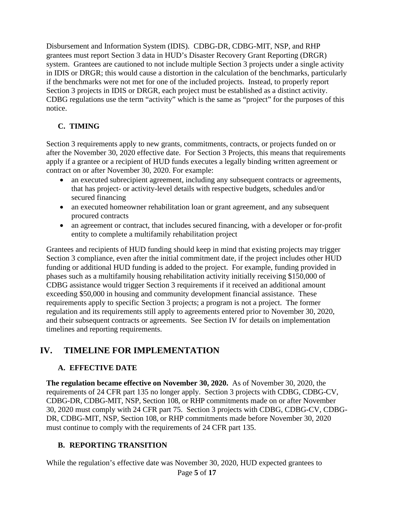Disbursement and Information System (IDIS). CDBG-DR, CDBG-MIT, NSP, and RHP grantees must report Section 3 data in HUD's Disaster Recovery Grant Reporting (DRGR) system. Grantees are cautioned to not include multiple Section 3 projects under a single activity in IDIS or DRGR; this would cause a distortion in the calculation of the benchmarks, particularly if the benchmarks were not met for one of the included projects. Instead, to properly report Section 3 projects in IDIS or DRGR, each project must be established as a distinct activity. CDBG regulations use the term "activity" which is the same as "project" for the purposes of this notice.

### **C. TIMING**

Section 3 requirements apply to new grants, commitments, contracts, or projects funded on or after the November 30, 2020 effective date. For Section 3 Projects, this means that requirements apply if a grantee or a recipient of HUD funds executes a legally binding written agreement or contract on or after November 30, 2020. For example:

- an executed subrecipient agreement, including any subsequent contracts or agreements, that has project- or activity-level details with respective budgets, schedules and/or secured financing
- an executed homeowner rehabilitation loan or grant agreement, and any subsequent procured contracts
- an agreement or contract, that includes secured financing, with a developer or for-profit entity to complete a multifamily rehabilitation project

Grantees and recipients of HUD funding should keep in mind that existing projects may trigger Section 3 compliance, even after the initial commitment date, if the project includes other HUD funding or additional HUD funding is added to the project. For example, funding provided in phases such as a multifamily housing rehabilitation activity initially receiving \$150,000 of CDBG assistance would trigger Section 3 requirements if it received an additional amount exceeding \$50,000 in housing and community development financial assistance. These requirements apply to specific Section 3 projects; a program is not a project. The former regulation and its requirements still apply to agreements entered prior to November 30, 2020, and their subsequent contracts or agreements. See Section IV for details on implementation timelines and reporting requirements.

## **IV. TIMELINE FOR IMPLEMENTATION**

### **A. EFFECTIVE DATE**

**The regulation became effective on November 30, 2020.** As of November 30, 2020, the requirements of 24 CFR part 135 no longer apply. Section 3 projects with CDBG, CDBG-CV, CDBG-DR, CDBG-MIT, NSP, Section 108, or RHP commitments made on or after November 30, 2020 must comply with 24 CFR part 75. Section 3 projects with CDBG, CDBG-CV, CDBG-DR, CDBG-MIT, NSP, Section 108, or RHP commitments made before November 30, 2020 must continue to comply with the requirements of 24 CFR part 135.

### **B. REPORTING TRANSITION**

Page **5** of **17** While the regulation's effective date was November 30, 2020, HUD expected grantees to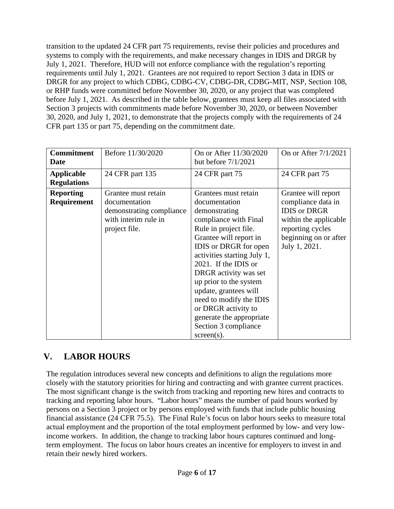transition to the updated 24 CFR part 75 requirements, revise their policies and procedures and systems to comply with the requirements, and make necessary changes in IDIS and DRGR by July 1, 2021. Therefore, HUD will not enforce compliance with the regulation's reporting requirements until July 1, 2021. Grantees are not required to report Section 3 data in IDIS or DRGR for any project to which CDBG, CDBG-CV, CDBG-DR, CDBG-MIT, NSP, Section 108, or RHP funds were committed before November 30, 2020, or any project that was completed before July 1, 2021. As described in the table below, grantees must keep all files associated with Section 3 projects with commitments made before November 30, 2020, or between November 30, 2020, and July 1, 2021, to demonstrate that the projects comply with the requirements of 24 CFR part 135 or part 75, depending on the commitment date.

| <b>Commitment</b><br>Date               | Before 11/30/2020                                                                                         | On or After 11/30/2020<br>but before $7/1/2021$                                                                                                                                                                                                                                                                                                                                                                              | On or After 7/1/2021                                                                                                                                     |
|-----------------------------------------|-----------------------------------------------------------------------------------------------------------|------------------------------------------------------------------------------------------------------------------------------------------------------------------------------------------------------------------------------------------------------------------------------------------------------------------------------------------------------------------------------------------------------------------------------|----------------------------------------------------------------------------------------------------------------------------------------------------------|
| <b>Applicable</b><br><b>Regulations</b> | 24 CFR part 135                                                                                           | 24 CFR part 75                                                                                                                                                                                                                                                                                                                                                                                                               | 24 CFR part 75                                                                                                                                           |
| <b>Reporting</b><br>Requirement         | Grantee must retain<br>documentation<br>demonstrating compliance<br>with interim rule in<br>project file. | Grantees must retain<br>documentation<br>demonstrating<br>compliance with Final<br>Rule in project file.<br>Grantee will report in<br><b>IDIS</b> or DRGR for open<br>activities starting July 1,<br>2021. If the IDIS or<br>DRGR activity was set<br>up prior to the system<br>update, grantees will<br>need to modify the IDIS<br>or DRGR activity to<br>generate the appropriate<br>Section 3 compliance<br>$screen(s)$ . | Grantee will report<br>compliance data in<br><b>IDIS</b> or DRGR<br>within the applicable.<br>reporting cycles<br>beginning on or after<br>July 1, 2021. |

## **V. LABOR HOURS**

The regulation introduces several new concepts and definitions to align the regulations more closely with the statutory priorities for hiring and contracting and with grantee current practices. The most significant change is the switch from tracking and reporting new hires and contracts to tracking and reporting labor hours. "Labor hours" means the number of paid hours worked by persons on a Section 3 project or by persons employed with funds that include public housing financial assistance (24 CFR 75.5). The Final Rule's focus on labor hours seeks to measure total actual employment and the proportion of the total employment performed by low- and very lowincome workers. In addition, the change to tracking labor hours captures continued and longterm employment. The focus on labor hours creates an incentive for employers to invest in and retain their newly hired workers.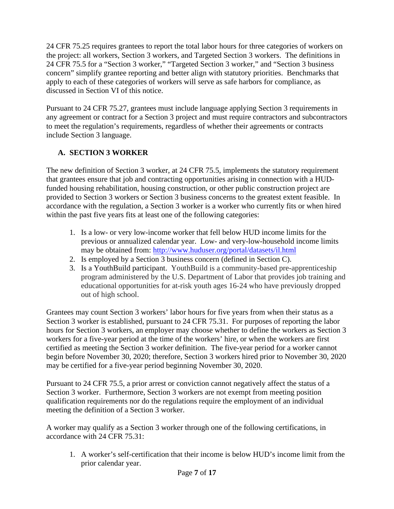24 CFR 75.25 requires grantees to report the total labor hours for three categories of workers on the project: all workers, Section 3 workers, and Targeted Section 3 workers. The definitions in 24 CFR 75.5 for a "Section 3 worker," "Targeted Section 3 worker," and "Section 3 business concern" simplify grantee reporting and better align with statutory priorities. Benchmarks that apply to each of these categories of workers will serve as safe harbors for compliance, as discussed in Section VI of this notice.

Pursuant to 24 CFR 75.27, grantees must include language applying Section 3 requirements in any agreement or contract for a Section 3 project and must require contractors and subcontractors to meet the regulation's requirements, regardless of whether their agreements or contracts include Section 3 language.

## **A. SECTION 3 WORKER**

The new definition of Section 3 worker, at 24 CFR 75.5, implements the statutory requirement that grantees ensure that job and contracting opportunities arising in connection with a HUDfunded housing rehabilitation, housing construction, or other public construction project are provided to Section 3 workers or Section 3 business concerns to the greatest extent feasible. In accordance with the regulation, a Section 3 worker is a worker who currently fits or when hired within the past five years fits at least one of the following categories:

- 1. Is a low- or very low-income worker that fell below HUD income limits for the previous or annualized calendar year. Low- and very-low-household income limits may be obtained from:<http://www.huduser.org/portal/datasets/il.html>
- 2. Is employed by a Section 3 business concern (defined in Section C).
- 3. Is a YouthBuild participant. YouthBuild is a community-based pre-apprenticeship program administered by the U.S. Department of Labor that provides job training and educational opportunities for at-risk youth ages 16-24 who have previously dropped out of high school.

Grantees may count Section 3 workers' labor hours for five years from when their status as a Section 3 worker is established, pursuant to 24 CFR 75.31. For purposes of reporting the labor hours for Section 3 workers, an employer may choose whether to define the workers as Section 3 workers for a five-year period at the time of the workers' hire, or when the workers are first certified as meeting the Section 3 worker definition. The five-year period for a worker cannot begin before November 30, 2020; therefore, Section 3 workers hired prior to November 30, 2020 may be certified for a five-year period beginning November 30, 2020.

Pursuant to 24 CFR 75.5, a prior arrest or conviction cannot negatively affect the status of a Section 3 worker. Furthermore, Section 3 workers are not exempt from meeting position qualification requirements nor do the regulations require the employment of an individual meeting the definition of a Section 3 worker.

A worker may qualify as a Section 3 worker through one of the following certifications, in accordance with 24 CFR 75.31:

1. A worker's self-certification that their income is below HUD's income limit from the prior calendar year.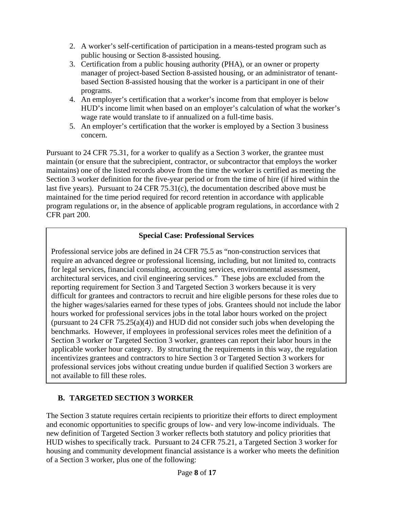- 2. A worker's self-certification of participation in a means-tested program such as public housing or Section 8-assisted housing.
- 3. Certification from a public housing authority (PHA), or an owner or property manager of project-based Section 8-assisted housing, or an administrator of tenantbased Section 8-assisted housing that the worker is a participant in one of their programs.
- 4. An employer's certification that a worker's income from that employer is below HUD's income limit when based on an employer's calculation of what the worker's wage rate would translate to if annualized on a full-time basis.
- 5. An employer's certification that the worker is employed by a Section 3 business concern.

Pursuant to 24 CFR 75.31, for a worker to qualify as a Section 3 worker, the grantee must maintain (or ensure that the subrecipient, contractor, or subcontractor that employs the worker maintains) one of the listed records above from the time the worker is certified as meeting the Section 3 worker definition for the five-year period or from the time of hire (if hired within the last five years). Pursuant to 24 CFR 75.31(c), the documentation described above must be maintained for the time period required for record retention in accordance with applicable program regulations or, in the absence of applicable program regulations, in accordance with 2 CFR part 200.

### **Special Case: Professional Services**

Professional service jobs are defined in 24 CFR 75.5 as "non-construction services that require an advanced degree or professional licensing, including, but not limited to, contracts for legal services, financial consulting, accounting services, environmental assessment, architectural services, and civil engineering services." These jobs are excluded from the reporting requirement for Section 3 and Targeted Section 3 workers because it is very difficult for grantees and contractors to recruit and hire eligible persons for these roles due to the higher wages/salaries earned for these types of jobs. Grantees should not include the labor hours worked for professional services jobs in the total labor hours worked on the project (pursuant to 24 CFR 75.25(a)(4)) and HUD did not consider such jobs when developing the benchmarks. However, if employees in professional services roles meet the definition of a Section 3 worker or Targeted Section 3 worker, grantees can report their labor hours in the applicable worker hour category. By structuring the requirements in this way, the regulation incentivizes grantees and contractors to hire Section 3 or Targeted Section 3 workers for professional services jobs without creating undue burden if qualified Section 3 workers are not available to fill these roles.

## **B. TARGETED SECTION 3 WORKER**

The Section 3 statute requires certain recipients to prioritize their efforts to direct employment and economic opportunities to specific groups of low- and very low-income individuals. The new definition of Targeted Section 3 worker reflects both statutory and policy priorities that HUD wishes to specifically track. Pursuant to 24 CFR 75.21, a Targeted Section 3 worker for housing and community development financial assistance is a worker who meets the definition of a Section 3 worker, plus one of the following: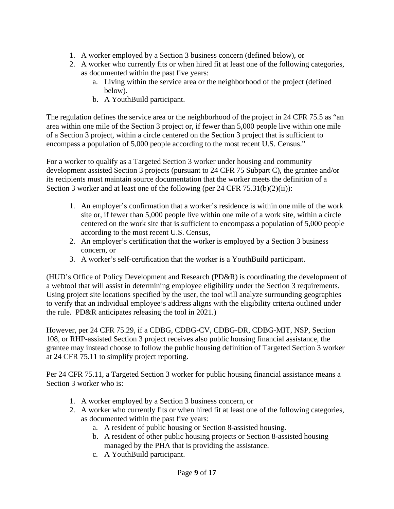- 1. A worker employed by a Section 3 business concern (defined below), or
- 2. A worker who currently fits or when hired fit at least one of the following categories, as documented within the past five years:
	- a. Living within the service area or the neighborhood of the project (defined below).
	- b. A YouthBuild participant.

The regulation defines the service area or the neighborhood of the project in 24 CFR 75.5 as "an area within one mile of the Section 3 project or, if fewer than 5,000 people live within one mile of a Section 3 project, within a circle centered on the Section 3 project that is sufficient to encompass a population of 5,000 people according to the most recent U.S. Census."

For a worker to qualify as a Targeted Section 3 worker under housing and community development assisted Section 3 projects (pursuant to 24 CFR 75 Subpart C), the grantee and/or its recipients must maintain source documentation that the worker meets the definition of a Section 3 worker and at least one of the following (per 24 CFR 75.31(b)(2)(ii)):

- 1. An employer's confirmation that a worker's residence is within one mile of the work site or, if fewer than 5,000 people live within one mile of a work site, within a circle centered on the work site that is sufficient to encompass a population of 5,000 people according to the most recent U.S. Census,
- 2. An employer's certification that the worker is employed by a Section 3 business concern, or
- 3. A worker's self-certification that the worker is a YouthBuild participant.

(HUD's Office of Policy Development and Research (PD&R) is coordinating the development of a webtool that will assist in determining employee eligibility under the Section 3 requirements. Using project site locations specified by the user, the tool will analyze surrounding geographies to verify that an individual employee's address aligns with the eligibility criteria outlined under the rule. PD&R anticipates releasing the tool in 2021.)

However, per 24 CFR 75.29, if a CDBG, CDBG-CV, CDBG-DR, CDBG-MIT, NSP, Section 108, or RHP-assisted Section 3 project receives also public housing financial assistance, the grantee may instead choose to follow the public housing definition of Targeted Section 3 worker at 24 CFR 75.11 to simplify project reporting.

Per 24 CFR 75.11, a Targeted Section 3 worker for public housing financial assistance means a Section 3 worker who is:

- 1. A worker employed by a Section 3 business concern, or
- 2. A worker who currently fits or when hired fit at least one of the following categories, as documented within the past five years:
	- a. A resident of public housing or Section 8-assisted housing.
	- b. A resident of other public housing projects or Section 8-assisted housing managed by the PHA that is providing the assistance.
	- c. A YouthBuild participant.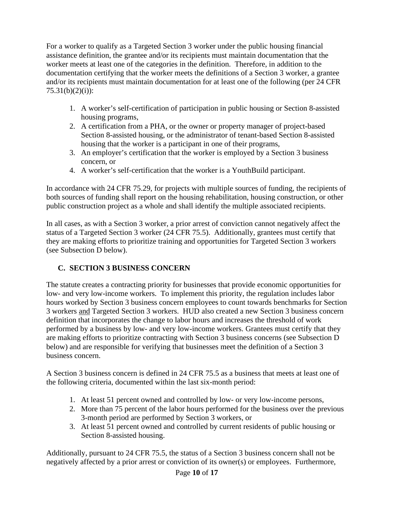For a worker to qualify as a Targeted Section 3 worker under the public housing financial assistance definition, the grantee and/or its recipients must maintain documentation that the worker meets at least one of the categories in the definition. Therefore, in addition to the documentation certifying that the worker meets the definitions of a Section 3 worker, a grantee and/or its recipients must maintain documentation for at least one of the following (per 24 CFR  $75.31(b)(2)(i)$ :

- 1. A worker's self-certification of participation in public housing or Section 8-assisted housing programs,
- 2. A certification from a PHA, or the owner or property manager of project-based Section 8-assisted housing, or the administrator of tenant-based Section 8-assisted housing that the worker is a participant in one of their programs,
- 3. An employer's certification that the worker is employed by a Section 3 business concern, or
- 4. A worker's self-certification that the worker is a YouthBuild participant.

In accordance with 24 CFR 75.29, for projects with multiple sources of funding, the recipients of both sources of funding shall report on the housing rehabilitation, housing construction, or other public construction project as a whole and shall identify the multiple associated recipients.

In all cases, as with a Section 3 worker, a prior arrest of conviction cannot negatively affect the status of a Targeted Section 3 worker (24 CFR 75.5). Additionally, grantees must certify that they are making efforts to prioritize training and opportunities for Targeted Section 3 workers (see Subsection D below).

## **C. SECTION 3 BUSINESS CONCERN**

The statute creates a contracting priority for businesses that provide economic opportunities for low- and very low-income workers. To implement this priority, the regulation includes labor hours worked by Section 3 business concern employees to count towards benchmarks for Section 3 workers and Targeted Section 3 workers. HUD also created a new Section 3 business concern definition that incorporates the change to labor hours and increases the threshold of work performed by a business by low- and very low-income workers. Grantees must certify that they are making efforts to prioritize contracting with Section 3 business concerns (see Subsection D below) and are responsible for verifying that businesses meet the definition of a Section 3 business concern.

A Section 3 business concern is defined in 24 CFR 75.5 as a business that meets at least one of the following criteria, documented within the last six-month period:

- 1. At least 51 percent owned and controlled by low- or very low-income persons,
- 2. More than 75 percent of the labor hours performed for the business over the previous 3-month period are performed by Section 3 workers, or
- 3. At least 51 percent owned and controlled by current residents of public housing or Section 8-assisted housing.

Additionally, pursuant to 24 CFR 75.5, the status of a Section 3 business concern shall not be negatively affected by a prior arrest or conviction of its owner(s) or employees. Furthermore,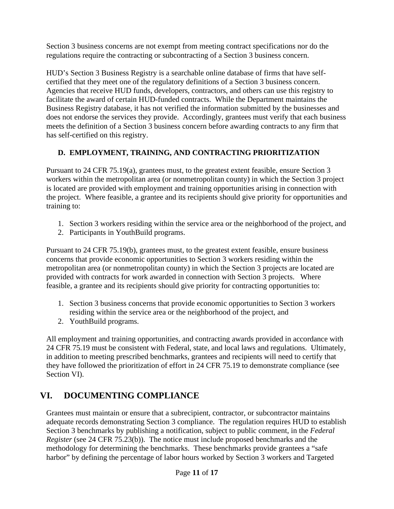Section 3 business concerns are not exempt from meeting contract specifications nor do the regulations require the contracting or subcontracting of a Section 3 business concern.

HUD's Section 3 Business Registry is a searchable online database of firms that have selfcertified that they meet one of the regulatory definitions of a Section 3 business concern. Agencies that receive HUD funds, developers, contractors, and others can use this registry to facilitate the award of certain HUD-funded contracts. While the Department maintains the Business Registry database, it has not verified the information submitted by the businesses and does not endorse the services they provide. Accordingly, grantees must verify that each business meets the definition of a Section 3 business concern before awarding contracts to any firm that has self-certified on this registry.

## **D. EMPLOYMENT, TRAINING, AND CONTRACTING PRIORITIZATION**

Pursuant to 24 CFR 75.19(a), grantees must, to the greatest extent feasible, ensure Section 3 workers within the metropolitan area (or nonmetropolitan county) in which the Section 3 project is located are provided with employment and training opportunities arising in connection with the project. Where feasible, a grantee and its recipients should give priority for opportunities and training to:

- 1. Section 3 workers residing within the service area or the neighborhood of the project, and
- 2. Participants in YouthBuild programs.

Pursuant to 24 CFR 75.19(b), grantees must, to the greatest extent feasible, ensure business concerns that provide economic opportunities to Section 3 workers residing within the metropolitan area (or nonmetropolitan county) in which the Section 3 projects are located are provided with contracts for work awarded in connection with Section 3 projects. Where feasible, a grantee and its recipients should give priority for contracting opportunities to:

- 1. Section 3 business concerns that provide economic opportunities to Section 3 workers residing within the service area or the neighborhood of the project, and
- 2. YouthBuild programs.

All employment and training opportunities, and contracting awards provided in accordance with 24 CFR 75.19 must be consistent with Federal, state, and local laws and regulations. Ultimately, in addition to meeting prescribed benchmarks, grantees and recipients will need to certify that they have followed the prioritization of effort in 24 CFR 75.19 to demonstrate compliance (see Section VI).

# **VI. DOCUMENTING COMPLIANCE**

Grantees must maintain or ensure that a subrecipient, contractor, or subcontractor maintains adequate records demonstrating Section 3 compliance. The regulation requires HUD to establish Section 3 benchmarks by publishing a notification, subject to public comment, in the *Federal Register* (see 24 CFR 75.23(b)). The notice must include proposed benchmarks and the methodology for determining the benchmarks. These benchmarks provide grantees a "safe harbor" by defining the percentage of labor hours worked by Section 3 workers and Targeted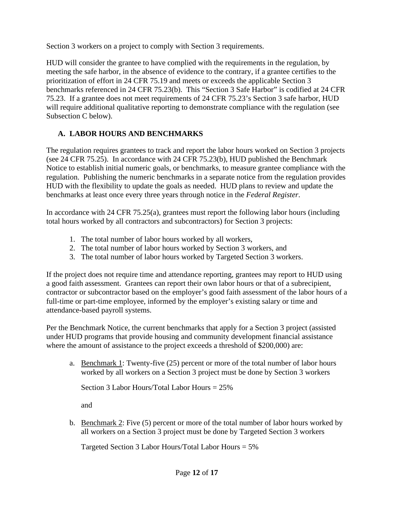Section 3 workers on a project to comply with Section 3 requirements.

HUD will consider the grantee to have complied with the requirements in the regulation, by meeting the safe harbor, in the absence of evidence to the contrary, if a grantee certifies to the prioritization of effort in 24 CFR 75.19 and meets or exceeds the applicable Section 3 benchmarks referenced in 24 CFR 75.23(b). This "Section 3 Safe Harbor" is codified at 24 CFR 75.23. If a grantee does not meet requirements of 24 CFR 75.23's Section 3 safe harbor, HUD will require additional qualitative reporting to demonstrate compliance with the regulation (see Subsection C below).

### **A. LABOR HOURS AND BENCHMARKS**

The regulation requires grantees to track and report the labor hours worked on Section 3 projects (see 24 CFR 75.25). In accordance with 24 CFR 75.23(b), HUD published the [Benchmark](https://www.govinfo.gov/content/pkg/FR-2020-09-29/pdf/2020-19183.pdf)  [Notice](https://www.govinfo.gov/content/pkg/FR-2020-09-29/pdf/2020-19183.pdf) to establish initial numeric goals, or benchmarks, to measure grantee compliance with the regulation. Publishing the numeric benchmarks in a separate notice from the regulation provides HUD with the flexibility to update the goals as needed. HUD plans to review and update the benchmarks at least once every three years through notice in the *Federal Register*.

In accordance with 24 CFR 75.25(a), grantees must report the following labor hours (including total hours worked by all contractors and subcontractors) for Section 3 projects:

- 1. The total number of labor hours worked by all workers,
- 2. The total number of labor hours worked by Section 3 workers, and
- 3. The total number of labor hours worked by Targeted Section 3 workers.

If the project does not require time and attendance reporting, grantees may report to HUD using a good faith assessment. Grantees can report their own labor hours or that of a subrecipient, contractor or subcontractor based on the employer's good faith assessment of the labor hours of a full-time or part-time employee, informed by the employer's existing salary or time and attendance-based payroll systems.

Per the Benchmark Notice, the current benchmarks that apply for a Section 3 project (assisted under HUD programs that provide housing and community development financial assistance where the amount of assistance to the project exceeds a threshold of \$200,000) are:

a. Benchmark 1: Twenty-five (25) percent or more of the total number of labor hours worked by all workers on a Section 3 project must be done by Section 3 workers

Section 3 Labor Hours/Total Labor Hours = 25%

and

b. Benchmark 2: Five (5) percent or more of the total number of labor hours worked by all workers on a Section 3 project must be done by Targeted Section 3 workers

Targeted Section 3 Labor Hours/Total Labor Hours = 5%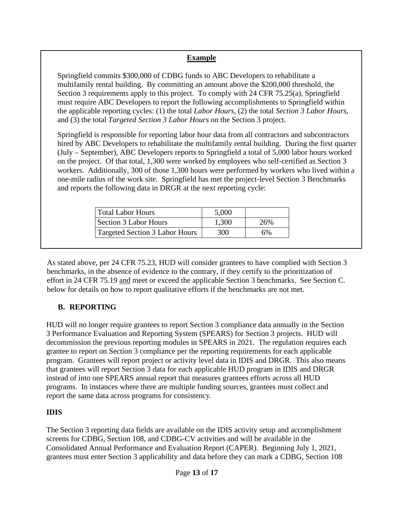### **Example**

Springfield commits \$300,000 of CDBG funds to ABC Developers to rehabilitate a multifamily rental building. By committing an amount above the \$200,000 threshold, the Section 3 requirements apply to this project. To comply with 24 CFR 75.25(a), Springfield must require ABC Developers to report the following accomplishments to Springfield within the applicable reporting cycles: (1) the total *Labor Hours*, (2) the total *Section 3 Labor Hours*, and (3) the total *Targeted Section 3 Labor Hours* on the Section 3 project.

Springfield is responsible for reporting labor hour data from all contractors and subcontractors hired by ABC Developers to rehabilitate the multifamily rental building. During the first quarter (July – September), ABC Developers reports to Springfield a total of 5,000 labor hours worked on the project. Of that total, 1,300 were worked by employees who self-certified as Section 3 workers. Additionally, 300 of those 1,300 hours were performed by workers who lived within a one-mile radius of the work site. Springfield has met the project-level Section 3 Benchmarks and reports the following data in DRGR at the next reporting cycle:

| Total Labor Hours              | 5,000 |     |
|--------------------------------|-------|-----|
| Section 3 Labor Hours          | 1,300 | 26% |
| Targeted Section 3 Labor Hours | 300   | 6%  |

As stated above, per 24 CFR 75.23, HUD will consider grantees to have complied with Section 3 benchmarks, in the absence of evidence to the contrary, if they certify to the prioritization of effort in 24 CFR 75.19 and meet or exceed the applicable Section 3 benchmarks. See Section C. below for details on how to report qualitative efforts if the benchmarks are not met.

### **B. REPORTING**

HUD will no longer require grantees to report Section 3 compliance data annually in the Section 3 Performance Evaluation and Reporting System (SPEARS) for Section 3 projects. HUD will decommission the previous reporting modules in SPEARS in 2021. The regulation requires each grantee to report on Section 3 compliance per the reporting requirements for each applicable program. Grantees will report project or activity level data in IDIS and DRGR. This also means that grantees will report Section 3 data for each applicable HUD program in IDIS and DRGR instead of into one SPEARS annual report that measures grantees efforts across all HUD programs. In instances where there are multiple funding sources, grantees must collect and report the same data across programs for consistency.

### **IDIS**

The Section 3 reporting data fields are available on the IDIS activity setup and accomplishment screens for CDBG, Section 108, and CDBG-CV activities and will be available in the Consolidated Annual Performance and Evaluation Report (CAPER). Beginning July 1, 2021, grantees must enter Section 3 applicability and data before they can mark a CDBG, Section 108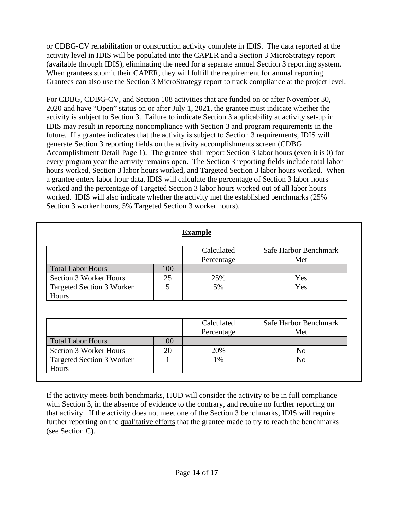or CDBG-CV rehabilitation or construction activity complete in IDIS. The data reported at the activity level in IDIS will be populated into the CAPER and a Section 3 MicroStrategy report (available through IDIS), eliminating the need for a separate annual Section 3 reporting system. When grantees submit their CAPER, they will fulfill the requirement for annual reporting. Grantees can also use the Section 3 MicroStrategy report to track compliance at the project level.

For CDBG, CDBG-CV, and Section 108 activities that are funded on or after November 30, 2020 and have "Open" status on or after July 1, 2021, the grantee must indicate whether the activity is subject to Section 3. Failure to indicate Section 3 applicability at activity set-up in IDIS may result in reporting noncompliance with Section 3 and program requirements in the future. If a grantee indicates that the activity is subject to Section 3 requirements, IDIS will generate Section 3 reporting fields on the activity accomplishments screen (CDBG Accomplishment Detail Page 1). The grantee shall report Section 3 labor hours (even it is 0) for every program year the activity remains open. The Section 3 reporting fields include total labor hours worked, Section 3 labor hours worked, and Targeted Section 3 labor hours worked. When a grantee enters labor hour data, IDIS will calculate the percentage of Section 3 labor hours worked and the percentage of Targeted Section 3 labor hours worked out of all labor hours worked. IDIS will also indicate whether the activity met the established benchmarks (25% Section 3 worker hours, 5% Targeted Section 3 worker hours).

| <b>Example</b>                   |     |            |                       |  |  |  |
|----------------------------------|-----|------------|-----------------------|--|--|--|
|                                  |     | Calculated | Safe Harbor Benchmark |  |  |  |
|                                  |     | Percentage | Met                   |  |  |  |
| <b>Total Labor Hours</b>         | 100 |            |                       |  |  |  |
| Section 3 Worker Hours           | 25  | 25%        | Yes                   |  |  |  |
| <b>Targeted Section 3 Worker</b> |     | 5%         | Yes                   |  |  |  |
| Hours                            |     |            |                       |  |  |  |

|                                  |     | Calculated<br>Percentage | Safe Harbor Benchmark<br>Met |
|----------------------------------|-----|--------------------------|------------------------------|
| <b>Total Labor Hours</b>         | 100 |                          |                              |
| Section 3 Worker Hours           | 20  | 20%                      | N <sub>0</sub>               |
| <b>Targeted Section 3 Worker</b> |     | 1%                       | No                           |
| Hours                            |     |                          |                              |

If the activity meets both benchmarks, HUD will consider the activity to be in full compliance with Section 3, in the absence of evidence to the contrary, and require no further reporting on that activity. If the activity does not meet one of the Section 3 benchmarks, IDIS will require further reporting on the qualitative efforts that the grantee made to try to reach the benchmarks (see Section C).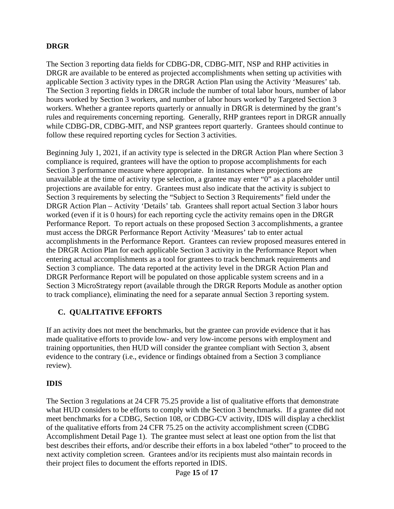### **DRGR**

The Section 3 reporting data fields for CDBG-DR, CDBG-MIT, NSP and RHP activities in DRGR are available to be entered as projected accomplishments when setting up activities with applicable Section 3 activity types in the DRGR Action Plan using the Activity 'Measures' tab. The Section 3 reporting fields in DRGR include the number of total labor hours, number of labor hours worked by Section 3 workers, and number of labor hours worked by Targeted Section 3 workers. Whether a grantee reports quarterly or annually in DRGR is determined by the grant's rules and requirements concerning reporting. Generally, RHP grantees report in DRGR annually while CDBG-DR, CDBG-MIT, and NSP grantees report quarterly. Grantees should continue to follow these required reporting cycles for Section 3 activities.

Beginning July 1, 2021, if an activity type is selected in the DRGR Action Plan where Section 3 compliance is required, grantees will have the option to propose accomplishments for each Section 3 performance measure where appropriate. In instances where projections are unavailable at the time of activity type selection, a grantee may enter "0" as a placeholder until projections are available for entry. Grantees must also indicate that the activity is subject to Section 3 requirements by selecting the "Subject to Section 3 Requirements" field under the DRGR Action Plan – Activity 'Details' tab*.* Grantees shall report actual Section 3 labor hours worked (even if it is 0 hours) for each reporting cycle the activity remains open in the DRGR Performance Report. To report actuals on these proposed Section 3 accomplishments, a grantee must access the DRGR Performance Report Activity 'Measures' tab to enter actual accomplishments in the Performance Report. Grantees can review proposed measures entered in the DRGR Action Plan for each applicable Section 3 activity in the Performance Report when entering actual accomplishments as a tool for grantees to track benchmark requirements and Section 3 compliance. The data reported at the activity level in the DRGR Action Plan and DRGR Performance Report will be populated on those applicable system screens and in a Section 3 MicroStrategy report (available through the DRGR Reports Module as another option to track compliance), eliminating the need for a separate annual Section 3 reporting system.

#### **C. QUALITATIVE EFFORTS**

If an activity does not meet the benchmarks, but the grantee can provide evidence that it has made qualitative efforts to provide low- and very low-income persons with employment and training opportunities, then HUD will consider the grantee compliant with Section 3, absent evidence to the contrary (i.e., evidence or findings obtained from a Section 3 compliance review).

#### **IDIS**

The Section 3 regulations at 24 CFR 75.25 provide a list of qualitative efforts that demonstrate what HUD considers to be efforts to comply with the Section 3 benchmarks. If a grantee did not meet benchmarks for a CDBG, Section 108, or CDBG-CV activity, IDIS will display a checklist of the qualitative efforts from 24 CFR 75.25 on the activity accomplishment screen (CDBG Accomplishment Detail Page 1). The grantee must select at least one option from the list that best describes their efforts, and/or describe their efforts in a box labeled "other" to proceed to the next activity completion screen. Grantees and/or its recipients must also maintain records in their project files to document the efforts reported in IDIS.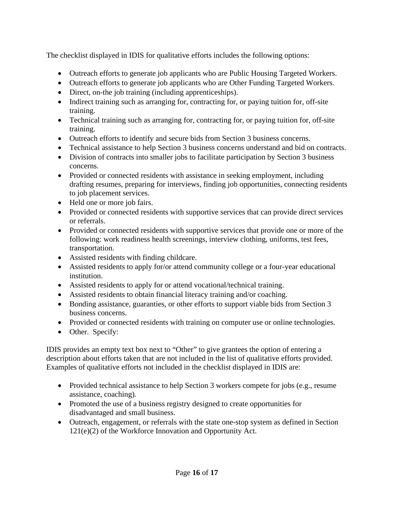The checklist displayed in IDIS for qualitative efforts includes the following options:

- Outreach efforts to generate job applicants who are Public Housing Targeted Workers.
- Outreach efforts to generate job applicants who are Other Funding Targeted Workers.
- Direct, on-the job training (including apprenticeships).
- Indirect training such as arranging for, contracting for, or paying tuition for, off-site training.
- Technical training such as arranging for, contracting for, or paying tuition for, off-site training.
- Outreach efforts to identify and secure bids from Section 3 business concerns.
- Technical assistance to help Section 3 business concerns understand and bid on contracts.
- Division of contracts into smaller jobs to facilitate participation by Section 3 business concerns.
- Provided or connected residents with assistance in seeking employment, including drafting resumes, preparing for interviews, finding job opportunities, connecting residents to job placement services.
- Held one or more job fairs.
- Provided or connected residents with supportive services that can provide direct services or referrals.
- Provided or connected residents with supportive services that provide one or more of the following: work readiness health screenings, interview clothing, uniforms, test fees, transportation.
- Assisted residents with finding childcare.
- Assisted residents to apply for/or attend community college or a four-year educational institution.
- Assisted residents to apply for or attend vocational/technical training.
- Assisted residents to obtain financial literacy training and/or coaching.
- Bonding assistance, guaranties, or other efforts to support viable bids from Section 3 business concerns.
- Provided or connected residents with training on computer use or online technologies.
- Other. Specify:

IDIS provides an empty text box next to "Other" to give grantees the option of entering a description about efforts taken that are not included in the list of qualitative efforts provided. Examples of qualitative efforts not included in the checklist displayed in IDIS are:

- Provided technical assistance to help Section 3 workers compete for jobs (e.g., resume assistance, coaching).
- Promoted the use of a business registry designed to create opportunities for disadvantaged and small business.
- Outreach, engagement, or referrals with the state one-stop system as defined in Section 121(e)(2) of the Workforce Innovation and Opportunity Act.